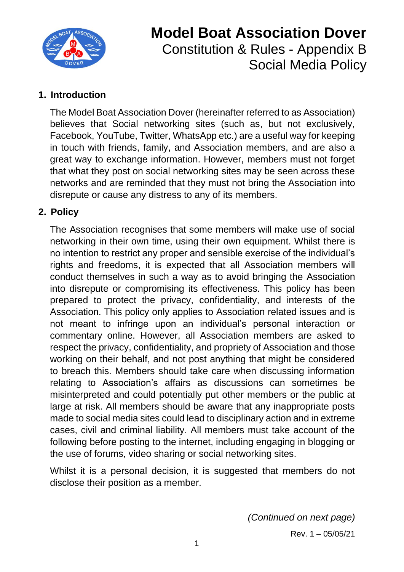

# **Model Boat Association Dover** Constitution & Rules - Appendix B Social Media Policy

#### **1. Introduction**

The Model Boat Association Dover (hereinafter referred to as Association) believes that Social networking sites (such as, but not exclusively, Facebook, YouTube, Twitter, WhatsApp etc.) are a useful way for keeping in touch with friends, family, and Association members, and are also a great way to exchange information. However, members must not forget that what they post on social networking sites may be seen across these networks and are reminded that they must not bring the Association into disrepute or cause any distress to any of its members.

#### **2. Policy**

The Association recognises that some members will make use of social networking in their own time, using their own equipment. Whilst there is no intention to restrict any proper and sensible exercise of the individual's rights and freedoms, it is expected that all Association members will conduct themselves in such a way as to avoid bringing the Association into disrepute or compromising its effectiveness. This policy has been prepared to protect the privacy, confidentiality, and interests of the Association. This policy only applies to Association related issues and is not meant to infringe upon an individual's personal interaction or commentary online. However, all Association members are asked to respect the privacy, confidentiality, and propriety of Association and those working on their behalf, and not post anything that might be considered to breach this. Members should take care when discussing information relating to Association's affairs as discussions can sometimes be misinterpreted and could potentially put other members or the public at large at risk. All members should be aware that any inappropriate posts made to social media sites could lead to disciplinary action and in extreme cases, civil and criminal liability. All members must take account of the following before posting to the internet, including engaging in blogging or the use of forums, video sharing or social networking sites.

Whilst it is a personal decision, it is suggested that members do not disclose their position as a member.

*(Continued on next page)*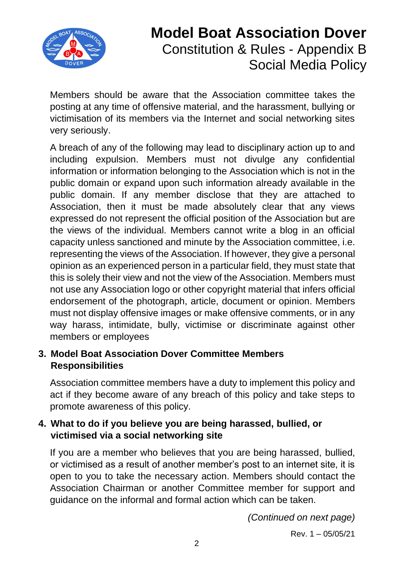

# **Model Boat Association Dover** Constitution & Rules - Appendix B Social Media Policy

Members should be aware that the Association committee takes the posting at any time of offensive material, and the harassment, bullying or victimisation of its members via the Internet and social networking sites very seriously.

A breach of any of the following may lead to disciplinary action up to and including expulsion. Members must not divulge any confidential information or information belonging to the Association which is not in the public domain or expand upon such information already available in the public domain. If any member disclose that they are attached to Association, then it must be made absolutely clear that any views expressed do not represent the official position of the Association but are the views of the individual. Members cannot write a blog in an official capacity unless sanctioned and minute by the Association committee, i.e. representing the views of the Association. If however, they give a personal opinion as an experienced person in a particular field, they must state that this is solely their view and not the view of the Association. Members must not use any Association logo or other copyright material that infers official endorsement of the photograph, article, document or opinion. Members must not display offensive images or make offensive comments, or in any way harass, intimidate, bully, victimise or discriminate against other members or employees

### **3. Model Boat Association Dover Committee Members Responsibilities**

Association committee members have a duty to implement this policy and act if they become aware of any breach of this policy and take steps to promote awareness of this policy.

### **4. What to do if you believe you are being harassed, bullied, or victimised via a social networking site**

If you are a member who believes that you are being harassed, bullied, or victimised as a result of another member's post to an internet site, it is open to you to take the necessary action. Members should contact the Association Chairman or another Committee member for support and guidance on the informal and formal action which can be taken.

*(Continued on next page)*